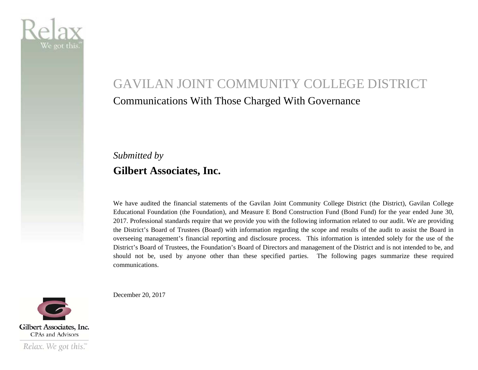

# GAVILAN JOINT COMMUNITY COLLEGE DISTRICT Communications With Those Charged With Governance

### *Submitted by*  **Gilbert Associates, Inc.**

We have audited the financial statements of the Gavilan Joint Community College District (the District), Gavilan College Educational Foundation (the Foundation), and Measure E Bond Construction Fund (Bond Fund) for the year ended June 30, 2017. Professional standards require that we provide you with the following information related to our audit. We are providing the District's Board of Trustees (Board) with information regarding the scope and results of the audit to assist the Board in overseeing management's financial reporting and disclosure process. This information is intended solely for the use of the District's Board of Trustees, the Foundation's Board of Directors and management of the District and is not intended to be, and should not be, used by anyone other than these specified parties. The following pages summarize these required communications.

December 20, 2017

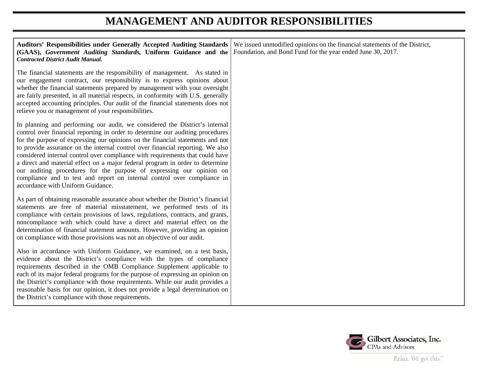### **MANAGEMENT AND AUDITOR RESPONSIBILITIES**

| <b>Auditors' Responsibilities under Generally Accepted Auditing Standards</b><br>(GAAS), Government Auditing Standards, Uniform Guidance and the<br><b>Contracted District Audit Manual.</b>                                                                                                                                                                                                                                                                                                                                                                                                                                                                                                 | We issued unmodified opinions on the financial statements of the District,<br>Foundation, and Bond Fund for the year ended June 30, 2017. |
|----------------------------------------------------------------------------------------------------------------------------------------------------------------------------------------------------------------------------------------------------------------------------------------------------------------------------------------------------------------------------------------------------------------------------------------------------------------------------------------------------------------------------------------------------------------------------------------------------------------------------------------------------------------------------------------------|-------------------------------------------------------------------------------------------------------------------------------------------|
| The financial statements are the responsibility of management. As stated in<br>our engagement contract, our responsibility is to express opinions about<br>whether the financial statements prepared by management with your oversight<br>are fairly presented, in all material respects, in conformity with U.S. generally<br>accepted accounting principles. Our audit of the financial statements does not<br>relieve you or management of your responsibilities.                                                                                                                                                                                                                         |                                                                                                                                           |
| In planning and performing our audit, we considered the District's internal<br>control over financial reporting in order to determine our auditing procedures<br>for the purpose of expressing our opinions on the financial statements and not<br>to provide assurance on the internal control over financial reporting. We also<br>considered internal control over compliance with requirements that could have<br>a direct and material effect on a major federal program in order to determine<br>our auditing procedures for the purpose of expressing our opinion on<br>compliance and to test and report on internal control over compliance in<br>accordance with Uniform Guidance. |                                                                                                                                           |
| As part of obtaining reasonable assurance about whether the District's financial<br>statements are free of material misstatement, we performed tests of its<br>compliance with certain provisions of laws, regulations, contracts, and grants,<br>noncompliance with which could have a direct and material effect on the<br>determination of financial statement amounts. However, providing an opinion<br>on compliance with those provisions was not an objective of our audit.                                                                                                                                                                                                           |                                                                                                                                           |
| Also in accordance with Uniform Guidance, we examined, on a test basis,<br>evidence about the District's compliance with the types of compliance<br>requirements described in the OMB Compliance Supplement applicable to<br>each of its major federal programs for the purpose of expressing an opinion on<br>the District's compliance with those requirements. While our audit provides a<br>reasonable basis for our opinion, it does not provide a legal determination on<br>the District's compliance with those requirements.                                                                                                                                                         |                                                                                                                                           |

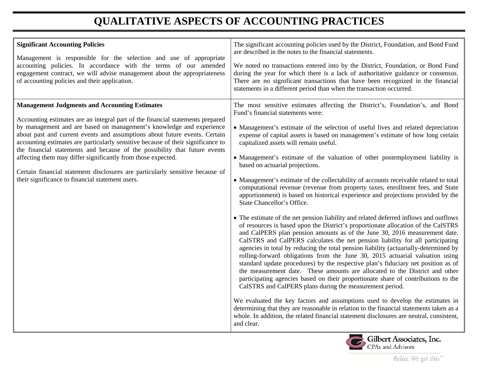## **QUALITATIVE ASPECTS OF ACCOUNTING PRACTICES**

| <b>Significant Accounting Policies</b><br>Management is responsible for the selection and use of appropriate<br>accounting policies. In accordance with the terms of our amended<br>engagement contract, we will advise management about the appropriateness<br>of accounting policies and their application.                                                                                                                                                                                                                                                                                                                                                       | The significant accounting policies used by the District, Foundation, and Bond Fund<br>are described in the notes to the financial statements.<br>We noted no transactions entered into by the District, Foundation, or Bond Fund<br>during the year for which there is a lack of authoritative guidance or consensus.<br>There are no significant transactions that have been recognized in the financial<br>statements in a different period than when the transaction occurred.                                                                                                                                                                                                                                                                                                                                                                                                                                                                                                                                                                                                                                                                                                                                                                                                                                                                                                                                                                                                                                                                                                                                                                                                                                                                                                                                                                                                     |
|---------------------------------------------------------------------------------------------------------------------------------------------------------------------------------------------------------------------------------------------------------------------------------------------------------------------------------------------------------------------------------------------------------------------------------------------------------------------------------------------------------------------------------------------------------------------------------------------------------------------------------------------------------------------|----------------------------------------------------------------------------------------------------------------------------------------------------------------------------------------------------------------------------------------------------------------------------------------------------------------------------------------------------------------------------------------------------------------------------------------------------------------------------------------------------------------------------------------------------------------------------------------------------------------------------------------------------------------------------------------------------------------------------------------------------------------------------------------------------------------------------------------------------------------------------------------------------------------------------------------------------------------------------------------------------------------------------------------------------------------------------------------------------------------------------------------------------------------------------------------------------------------------------------------------------------------------------------------------------------------------------------------------------------------------------------------------------------------------------------------------------------------------------------------------------------------------------------------------------------------------------------------------------------------------------------------------------------------------------------------------------------------------------------------------------------------------------------------------------------------------------------------------------------------------------------------|
| <b>Management Judgments and Accounting Estimates</b><br>Accounting estimates are an integral part of the financial statements prepared<br>by management and are based on management's knowledge and experience<br>about past and current events and assumptions about future events. Certain<br>accounting estimates are particularly sensitive because of their significance to<br>the financial statements and because of the possibility that future events<br>affecting them may differ significantly from those expected.<br>Certain financial statement disclosures are particularly sensitive because of<br>their significance to financial statement users. | The most sensitive estimates affecting the District's, Foundation's, and Bond<br>Fund's financial statements were:<br>• Management's estimate of the selection of useful lives and related depreciation<br>expense of capital assets is based on management's estimate of how long certain<br>capitalized assets will remain useful.<br>• Management's estimate of the valuation of other postemployment liability is<br>based on actuarial projections.<br>• Management's estimate of the collectability of accounts receivable related to total<br>computational revenue (revenue from property taxes, enrollment fees, and State<br>apportionment) is based on historical experience and projections provided by the<br>State Chancellor's Office.<br>• The estimate of the net pension liability and related deferred inflows and outflows<br>of resources is based upon the District's proportionate allocation of the CalSTRS<br>and CalPERS plan pension amounts as of the June 30, 2016 measurement date.<br>CalSTRS and CalPERS calculates the net pension liability for all participating<br>agencies in total by reducing the total pension liability (actuarially-determined by<br>rolling-forward obligations from the June 30, 2015 actuarial valuation using<br>standard update procedures) by the respective plan's fiduciary net position as of<br>the measurement date. These amounts are allocated to the District and other<br>participating agencies based on their proportionate share of contributions to the<br>CalSTRS and CalPERS plans during the measurement period.<br>We evaluated the key factors and assumptions used to develop the estimates in<br>determining that they are reasonable in relation to the financial statements taken as a<br>whole. In addition, the related financial statement disclosures are neutral, consistent,<br>and clear. |

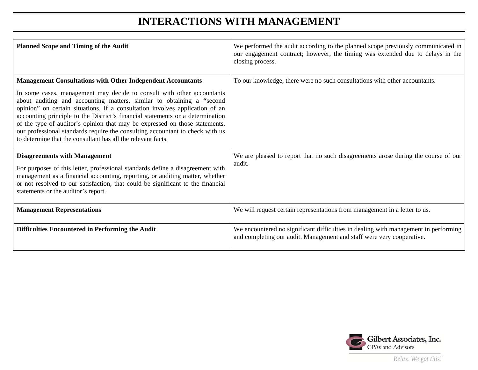### **INTERACTIONS WITH MANAGEMENT**

| <b>Planned Scope and Timing of the Audit</b>                                                                                                                                                                                                                                                                                                                                                                                                                                                                                                                                                                            | We performed the audit according to the planned scope previously communicated in<br>our engagement contract; however, the timing was extended due to delays in the<br>closing process. |
|-------------------------------------------------------------------------------------------------------------------------------------------------------------------------------------------------------------------------------------------------------------------------------------------------------------------------------------------------------------------------------------------------------------------------------------------------------------------------------------------------------------------------------------------------------------------------------------------------------------------------|----------------------------------------------------------------------------------------------------------------------------------------------------------------------------------------|
| <b>Management Consultations with Other Independent Accountants</b><br>In some cases, management may decide to consult with other accountants<br>about auditing and accounting matters, similar to obtaining a "second<br>opinion" on certain situations. If a consultation involves application of an<br>accounting principle to the District's financial statements or a determination<br>of the type of auditor's opinion that may be expressed on those statements,<br>our professional standards require the consulting accountant to check with us<br>to determine that the consultant has all the relevant facts. | To our knowledge, there were no such consultations with other accountants.                                                                                                             |
| <b>Disagreements with Management</b><br>For purposes of this letter, professional standards define a disagreement with<br>management as a financial accounting, reporting, or auditing matter, whether<br>or not resolved to our satisfaction, that could be significant to the financial<br>statements or the auditor's report.                                                                                                                                                                                                                                                                                        | We are pleased to report that no such disagreements arose during the course of our<br>audit.                                                                                           |
| <b>Management Representations</b>                                                                                                                                                                                                                                                                                                                                                                                                                                                                                                                                                                                       | We will request certain representations from management in a letter to us.                                                                                                             |
| <b>Difficulties Encountered in Performing the Audit</b>                                                                                                                                                                                                                                                                                                                                                                                                                                                                                                                                                                 | We encountered no significant difficulties in dealing with management in performing<br>and completing our audit. Management and staff were very cooperative.                           |



Relax. We got this."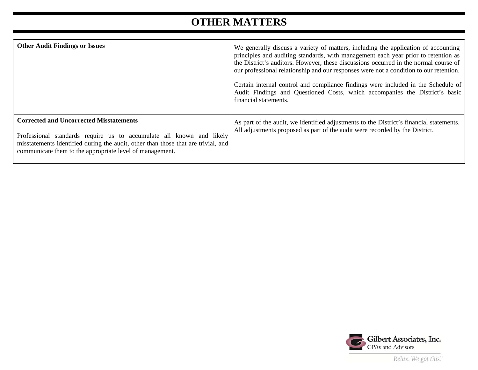### **OTHER MATTERS**

| <b>Other Audit Findings or Issues</b>                                                                                                                                                                                                                                   | We generally discuss a variety of matters, including the application of accounting<br>principles and auditing standards, with management each year prior to retention as<br>the District's auditors. However, these discussions occurred in the normal course of<br>our professional relationship and our responses were not a condition to our retention.<br>Certain internal control and compliance findings were included in the Schedule of<br>Audit Findings and Questioned Costs, which accompanies the District's basic<br>financial statements. |
|-------------------------------------------------------------------------------------------------------------------------------------------------------------------------------------------------------------------------------------------------------------------------|---------------------------------------------------------------------------------------------------------------------------------------------------------------------------------------------------------------------------------------------------------------------------------------------------------------------------------------------------------------------------------------------------------------------------------------------------------------------------------------------------------------------------------------------------------|
| <b>Corrected and Uncorrected Misstatements</b><br>Professional standards require us to accumulate all known and likely<br>misstatements identified during the audit, other than those that are trivial, and<br>communicate them to the appropriate level of management. | As part of the audit, we identified adjustments to the District's financial statements.<br>All adjustments proposed as part of the audit were recorded by the District.                                                                                                                                                                                                                                                                                                                                                                                 |



Relax. We got this."